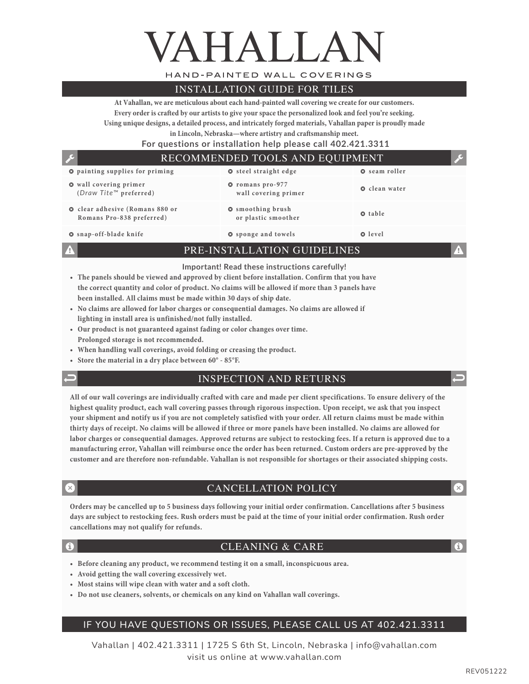# VAHALLA

HAND-PAINTED WALL COVERINGS

#### INSTALLATION GUIDE FOR TILES

**At Vahallan, we are meticulous about each hand-painted wall covering we create for our customers. Every order is crafted by our artists to give your space the personalized look and feel you're seeking. Using unique designs, a detailed process, and intricately forged materials, Vahallan paper is proudly made** 

**in Lincoln, Nebraska—where artistry and craftsmanship meet.** 

 **For questions or installation help please call 402.421.3311**

#### RECOMMENDED TOOLS AND EQUIPMENT

| <b>Q</b> painting supplies for priming                                    | <b>O</b> steel straight edge                    | <b>Q</b> seam roller |
|---------------------------------------------------------------------------|-------------------------------------------------|----------------------|
| <b>O</b> wall covering primer<br>$(Draw \text{Tite}^m \text{ preferred})$ | <b>O</b> romans pro-977<br>wall covering primer | <b>Q</b> clean water |
| <b>O</b> clear adhesive (Romans 880 or<br>Romans Pro-838 preferred)       | <b>O</b> smoothing brush<br>or plastic smoother | <b>Q</b> table       |
| <b>O</b> snap-off-blade knife                                             | <b>O</b> sponge and towels                      | <b>Q</b> level       |

PRE-INSTALLATION GUIDELINES

#### **Important! Read these instructions carefully!**

- **• The panels should be viewed and approved by client before installation. Confirm that you have the correct quantity and color of product. No claims will be allowed if more than 3 panels have been installed. All claims must be made within 30 days of ship date.**
- **• No claims are allowed for labor charges or consequential damages. No claims are allowed if lighting in install area is unfinished/not fully installed.**
- **• Our product is not guaranteed against fading or color changes over time. Prolonged storage is not recommended.**
- **• When handling wall coverings, avoid folding or creasing the product.**
- **• Store the material in a dry place between 60° 85°F.**
- 

#### INSPECTION AND RETURNS

**All of our wall coverings are individually crafted with care and made per client specifications. To ensure delivery of the highest quality product, each wall covering passes through rigorous inspection. Upon receipt, we ask that you inspect your shipment and notify us if you are not completely satisfied with your order. All return claims must be made within thirty days of receipt. No claims will be allowed if three or more panels have been installed. No claims are allowed for labor charges or consequential damages. Approved returns are subject to restocking fees. If a return is approved due to a manufacturing error, Vahallan will reimburse once the order has been returned. Custom orders are pre-approved by the customer and are therefore non-refundable. Vahallan is not responsible for shortages or their associated shipping costs.**

#### CANCELLATION POLICY

**Orders may be cancelled up to 5 business days following your initial order confirmation. Cancellations after 5 business days are subject to restocking fees. Rush orders must be paid at the time of your initial order confirmation. Rush order cancellations may not qualify for refunds.**

#### CLEANING & CARE

- **• Before cleaning any product, we recommend testing it on a small, inconspicuous area.**
- **• Avoid getting the wall covering excessively wet.**
- **• Most stains will wipe clean with water and a soft cloth.**
- **• Do not use cleaners, solvents, or chemicals on any kind on Vahallan wall coverings.**

#### IF YOU HAVE QUESTIONS OR ISSUES, PLEASE CALL US AT 402.421.3311

Vahallan | 402.421.3311 | 1725 S 6th St, Lincoln, Nebraska | info@vahallan.com visit us online at www.vahallan.com